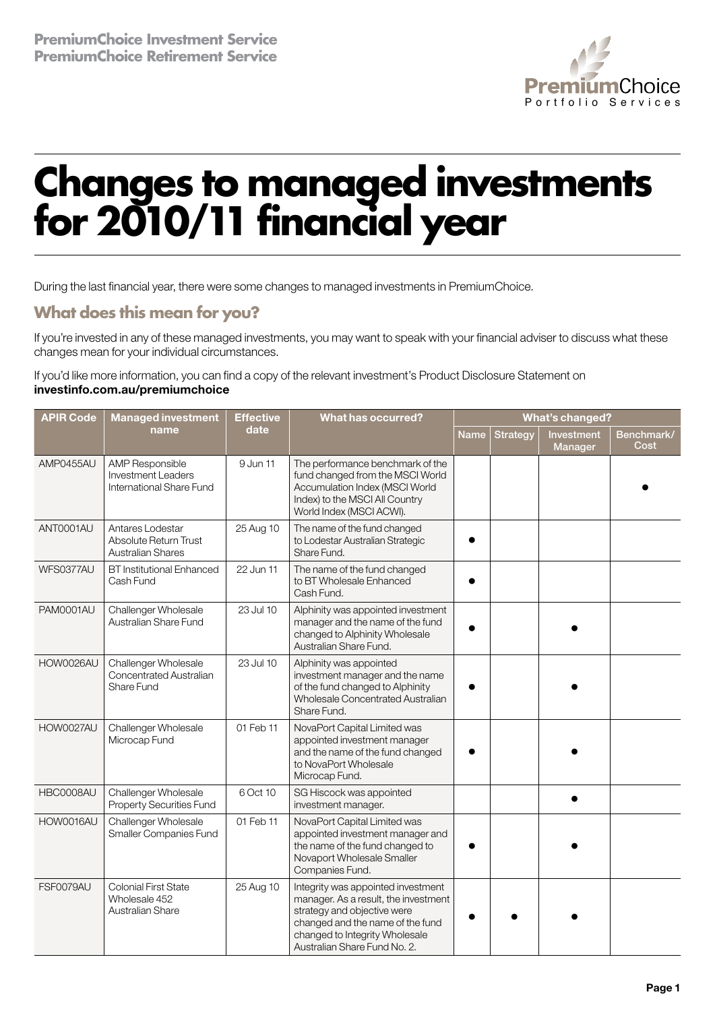

## **Changes to managed investments for 2010/11 financial year**

During the last financial year, there were some changes to managed investments in PremiumChoice.

## **What does this mean for you?**

If you're invested in any of these managed investments, you may want to speak with your financial adviser to discuss what these changes mean for your individual circumstances.

If you'd like more information, you can find a copy of the relevant investment's Product Disclosure Statement on investinfo.com.au/premiumchoice

| <b>APIR Code</b> | <b>Managed investment</b><br>name                                               | <b>Effective</b><br>date | <b>What has occurred?</b>                                                                                                                                                                                       | <b>What's changed?</b> |          |                       |                    |
|------------------|---------------------------------------------------------------------------------|--------------------------|-----------------------------------------------------------------------------------------------------------------------------------------------------------------------------------------------------------------|------------------------|----------|-----------------------|--------------------|
|                  |                                                                                 |                          |                                                                                                                                                                                                                 | Name                   | Strategy | Investment<br>Manager | Benchmark/<br>Cost |
| AMP0455AU        | <b>AMP Responsible</b><br><b>Investment Leaders</b><br>International Share Fund | 9 Jun 11                 | The performance benchmark of the<br>fund changed from the MSCI World<br>Accumulation Index (MSCI World<br>Index) to the MSCI All Country<br>World Index (MSCI ACWI).                                            |                        |          |                       |                    |
| ANT0001AU        | Antares Lodestar<br>Absolute Return Trust<br><b>Australian Shares</b>           | 25 Aug 10                | The name of the fund changed<br>to Lodestar Australian Strategic<br>Share Fund.                                                                                                                                 |                        |          |                       |                    |
| WFS0377AU        | <b>BT</b> Institutional Enhanced<br>Cash Fund                                   | 22 Jun 11                | The name of the fund changed<br>to BT Wholesale Enhanced<br>Cash Fund.                                                                                                                                          |                        |          |                       |                    |
| PAM0001AU        | Challenger Wholesale<br>Australian Share Fund                                   | 23 Jul 10                | Alphinity was appointed investment<br>manager and the name of the fund<br>changed to Alphinity Wholesale<br>Australian Share Fund.                                                                              |                        |          |                       |                    |
| HOW0026AU        | Challenger Wholesale<br>Concentrated Australian<br>Share Fund                   | 23 Jul 10                | Alphinity was appointed<br>investment manager and the name<br>of the fund changed to Alphinity<br>Wholesale Concentrated Australian<br>Share Fund.                                                              |                        |          |                       |                    |
| HOW0027AU        | Challenger Wholesale<br>Microcap Fund                                           | 01 Feb 11                | NovaPort Capital Limited was<br>appointed investment manager<br>and the name of the fund changed<br>to NovaPort Wholesale<br>Microcap Fund.                                                                     |                        |          |                       |                    |
| HBC0008AU        | Challenger Wholesale<br>Property Securities Fund                                | 6 Oct 10                 | SG Hiscock was appointed<br>investment manager.                                                                                                                                                                 |                        |          |                       |                    |
| HOW0016AU        | Challenger Wholesale<br>Smaller Companies Fund                                  | 01 Feb 11                | NovaPort Capital Limited was<br>appointed investment manager and<br>the name of the fund changed to<br>Novaport Wholesale Smaller<br>Companies Fund.                                                            |                        |          |                       |                    |
| FSF0079AU        | <b>Colonial First State</b><br>Wholesale 452<br>Australian Share                | 25 Aug 10                | Integrity was appointed investment<br>manager. As a result, the investment<br>strategy and objective were<br>changed and the name of the fund<br>changed to Integrity Wholesale<br>Australian Share Fund No. 2. |                        |          |                       |                    |